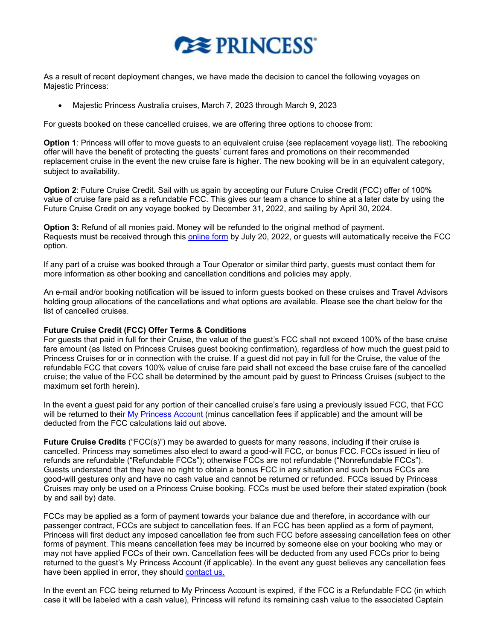

As a result of recent deployment changes, we have made the decision to cancel the following voyages on Majestic Princess:

• Majestic Princess Australia cruises, March 7, 2023 through March 9, 2023

For guests booked on these cancelled cruises, we are offering three options to choose from:

**Option 1**: Princess will offer to move guests to an equivalent cruise (see replacement voyage list). The rebooking offer will have the benefit of protecting the guests' current fares and promotions on their recommended replacement cruise in the event the new cruise fare is higher. The new booking will be in an equivalent category, subject to availability.

**Option 2:** Future Cruise Credit. Sail with us again by accepting our Future Cruise Credit (FCC) offer of 100% value of cruise fare paid as a refundable FCC. This gives our team a chance to shine at a later date by using the Future Cruise Credit on any voyage booked by December 31, 2022, and sailing by April 30, 2024.

**Option 3:** Refund of all monies paid. Money will be refunded to the original method of payment. Requests must be received through this [online form](https://www.princess.com/pcl/) by July 20, 2022, or guests will automatically receive the FCC option.

If any part of a cruise was booked through a Tour Operator or similar third party, guests must contact them for more information as other booking and cancellation conditions and policies may apply.

An e-mail and/or booking notification will be issued to inform guests booked on these cruises and Travel Advisors holding group allocations of the cancellations and what options are available. Please see the chart below for the list of cancelled cruises.

## **Future Cruise Credit (FCC) Offer Terms & Conditions**

For guests that paid in full for their Cruise, the value of the guest's FCC shall not exceed 100% of the base cruise fare amount (as listed on Princess Cruises guest booking confirmation), regardless of how much the guest paid to Princess Cruises for or in connection with the cruise. If a guest did not pay in full for the Cruise, the value of the refundable FCC that covers 100% value of cruise fare paid shall not exceed the base cruise fare of the cancelled cruise; the value of the FCC shall be determined by the amount paid by guest to Princess Cruises (subject to the maximum set forth herein).

In the event a guest paid for any portion of their cancelled cruise's fare using a previously issued FCC, that FCC will be returned to their [My Princess Account](https://book.princess.com/captaincircle/myPrincess.page) (minus cancellation fees if applicable) and the amount will be deducted from the FCC calculations laid out above.

**Future Cruise Credits** ("FCC(s)") may be awarded to guests for many reasons, including if their cruise is cancelled. Princess may sometimes also elect to award a good-will FCC, or bonus FCC. FCCs issued in lieu of refunds are refundable ("Refundable FCCs"); otherwise FCCs are not refundable ("Nonrefundable FCCs"). Guests understand that they have no right to obtain a bonus FCC in any situation and such bonus FCCs are good-will gestures only and have no cash value and cannot be returned or refunded. FCCs issued by Princess Cruises may only be used on a Princess Cruise booking. FCCs must be used before their stated expiration (book by and sail by) date.

FCCs may be applied as a form of payment towards your balance due and therefore, in accordance with our passenger contract, FCCs are subject to cancellation fees. If an FCC has been applied as a form of payment, Princess will first deduct any imposed cancellation fee from such FCC before assessing cancellation fees on other forms of payment. This means cancellation fees may be incurred by someone else on your booking who may or may not have applied FCCs of their own. Cancellation fees will be deducted from any used FCCs prior to being returned to the guest's My Princess Account (if applicable). In the event any guest believes any cancellation fees have been applied in error, they should [contact us](https://book.princess.com/captaincircle/customerCare.page).

In the event an FCC being returned to My Princess Account is expired, if the FCC is a Refundable FCC (in which case it will be labeled with a cash value), Princess will refund its remaining cash value to the associated Captain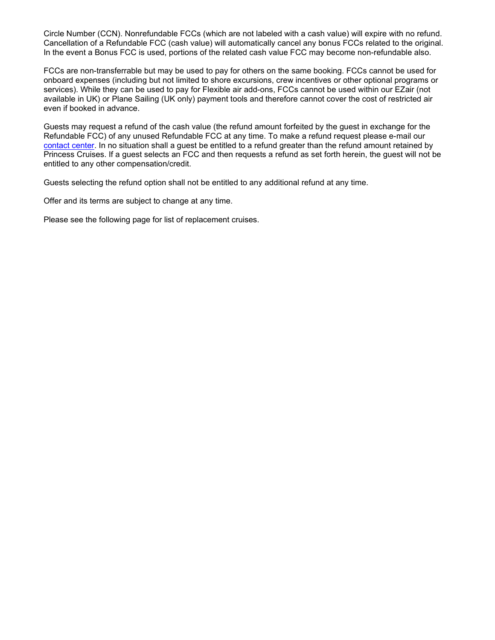Circle Number (CCN). Nonrefundable FCCs (which are not labeled with a cash value) will expire with no refund. Cancellation of a Refundable FCC (cash value) will automatically cancel any bonus FCCs related to the original. In the event a Bonus FCC is used, portions of the related cash value FCC may become non-refundable also.

FCCs are non-transferrable but may be used to pay for others on the same booking. FCCs cannot be used for onboard expenses (including but not limited to shore excursions, crew incentives or other optional programs or services). While they can be used to pay for Flexible air add-ons, FCCs cannot be used within our EZair (not available in UK) or Plane Sailing (UK only) payment tools and therefore cannot cover the cost of restricted air even if booked in advance.

Guests may request a refund of the cash value (the refund amount forfeited by the guest in exchange for the Refundable FCC) of any unused Refundable FCC at any time. To make a refund request please e-mail our [contact center.](https://book.princess.com/captaincircle/customerCare.page) In no situation shall a guest be entitled to a refund greater than the refund amount retained by Princess Cruises. If a guest selects an FCC and then requests a refund as set forth herein, the guest will not be entitled to any other compensation/credit.

Guests selecting the refund option shall not be entitled to any additional refund at any time.

Offer and its terms are subject to change at any time.

Please see the following page for list of replacement cruises.